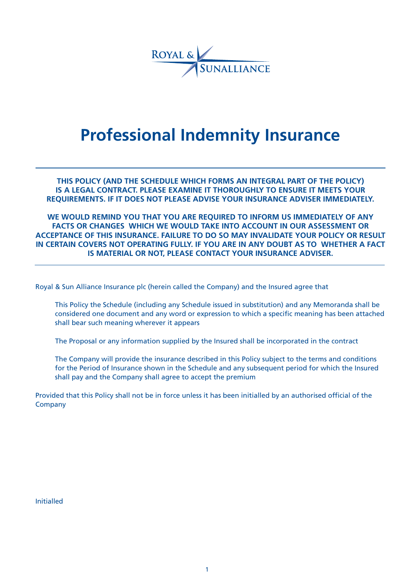

# **Professional Indemnity Insurance**

**THIS POLICY (AND THE SCHEDULE WHICH FORMS AN INTEGRAL PART OF THE POLICY) IS A LEGAL CONTRACT. PLEASE EXAMINE IT THOROUGHLY TO ENSURE IT MEETS YOUR REQUIREMENTS. IF IT DOES NOT PLEASE ADVISE YOUR INSURANCE ADVISER IMMEDIATELY.**

**WE WOULD REMIND YOU THAT YOU ARE REQUIRED TO INFORM US IMMEDIATELY OF ANY FACTS OR CHANGES WHICH WE WOULD TAKE INTO ACCOUNT IN OUR ASSESSMENT OR ACCEPTANCE OF THIS INSURANCE. FAILURE TO DO SO MAY INVALIDATE YOUR POLICY OR RESULT IN CERTAIN COVERS NOT OPERATING FULLY. IF YOU ARE IN ANY DOUBT AS TO WHETHER A FACT IS MATERIAL OR NOT, PLEASE CONTACT YOUR INSURANCE ADVISER.**

Royal & Sun Alliance Insurance plc (herein called the Company) and the Insured agree that

This Policy the Schedule (including any Schedule issued in substitution) and any Memoranda shall be considered one document and any word or expression to which a specific meaning has been attached shall bear such meaning wherever it appears

The Proposal or any information supplied by the Insured shall be incorporated in the contract

The Company will provide the insurance described in this Policy subject to the terms and conditions for the Period of Insurance shown in the Schedule and any subsequent period for which the Insured shall pay and the Company shall agree to accept the premium

Provided that this Policy shall not be in force unless it has been initialled by an authorised official of the **Company** 

Initialled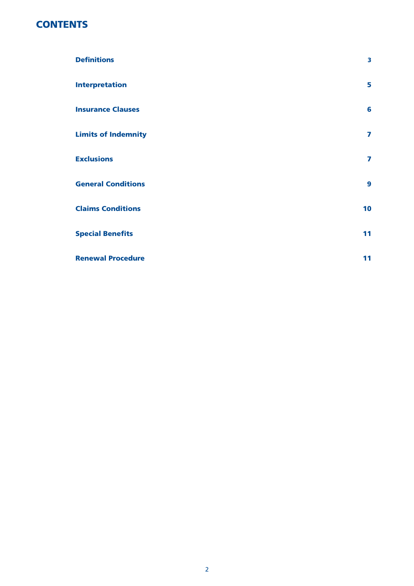# **CONTENTS**

| <b>Definitions</b>         | 3                       |
|----------------------------|-------------------------|
| <b>Interpretation</b>      | 5                       |
| <b>Insurance Clauses</b>   | 6                       |
| <b>Limits of Indemnity</b> | 7                       |
| <b>Exclusions</b>          | $\overline{\mathbf{z}}$ |
| <b>General Conditions</b>  | 9                       |
| <b>Claims Conditions</b>   | 10                      |
| <b>Special Benefits</b>    | 11                      |
| <b>Renewal Procedure</b>   | 11                      |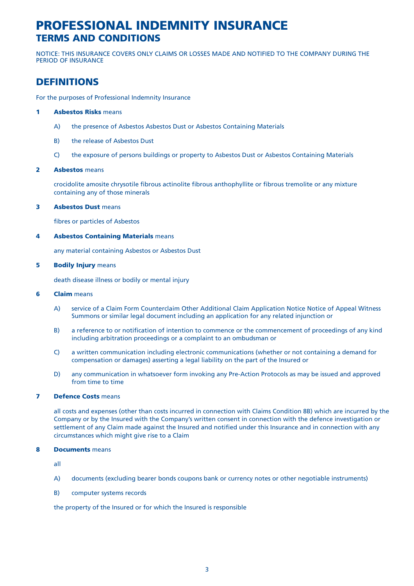# **PROFESSIONAL INDEMNITY INSURANCE TERMS AND CONDITIONS**

NOTICE: THIS INSURANCE COVERS ONLY CLAIMS OR LOSSES MADE AND NOTIFIED TO THE COMPANY DURING THE PERIOD OF INSURANCE

# **DEFINITIONS**

For the purposes of Professional Indemnity Insurance

# **1 Asbestos Risks** means

- A) the presence of Asbestos Asbestos Dust or Asbestos Containing Materials
- B) the release of Asbestos Dust
- C) the exposure of persons buildings or property to Asbestos Dust or Asbestos Containing Materials

# **2 Asbestos** means

crocidolite amosite chrysotile fibrous actinolite fibrous anthophyllite or fibrous tremolite or any mixture containing any of those minerals

### **3 Asbestos Dust** means

fibres or particles of Asbestos

### **4 Asbestos Containing Materials** means

any material containing Asbestos or Asbestos Dust

#### **5 Bodily Injury** means

death disease illness or bodily or mental injury

# **6 Claim** means

- A) service of a Claim Form Counterclaim Other Additional Claim Application Notice Notice of Appeal Witness Summons or similar legal document including an application for any related injunction or
- B) a reference to or notification of intention to commence or the commencement of proceedings of any kind including arbitration proceedings or a complaint to an ombudsman or
- C) a written communication including electronic communications (whether or not containing a demand for compensation or damages) asserting a legal liability on the part of the Insured or
- D) any communication in whatsoever form invoking any Pre-Action Protocols as may be issued and approved from time to time

# **7 Defence Costs** means

all costs and expenses (other than costs incurred in connection with Claims Condition 8B) which are incurred by the Company or by the Insured with the Company's written consent in connection with the defence investigation or settlement of any Claim made against the Insured and notified under this Insurance and in connection with any circumstances which might give rise to a Claim

# **8 Documents** means

all

- A) documents (excluding bearer bonds coupons bank or currency notes or other negotiable instruments)
- B) computer systems records

the property of the Insured or for which the Insured is responsible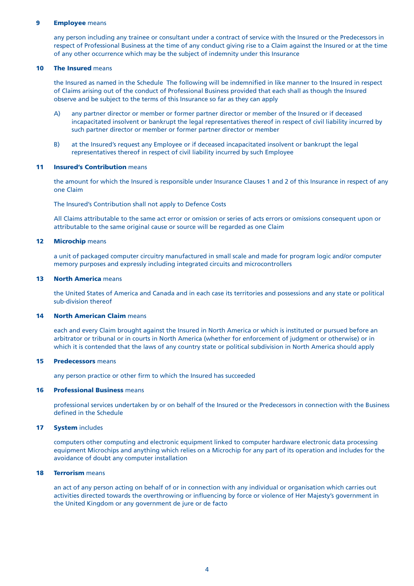#### **9 Employee** means

any person including any trainee or consultant under a contract of service with the Insured or the Predecessors in respect of Professional Business at the time of any conduct giving rise to a Claim against the Insured or at the time of any other occurrence which may be the subject of indemnity under this Insurance

#### **10 The Insured** means

the Insured as named in the Schedule The following will be indemnified in like manner to the Insured in respect of Claims arising out of the conduct of Professional Business provided that each shall as though the Insured observe and be subject to the terms of this Insurance so far as they can apply

- A) any partner director or member or former partner director or member of the Insured or if deceased incapacitated insolvent or bankrupt the legal representatives thereof in respect of civil liability incurred by such partner director or member or former partner director or member
- B) at the Insured's request any Employee or if deceased incapacitated insolvent or bankrupt the legal representatives thereof in respect of civil liability incurred by such Employee

#### **11 Insured's Contribution** means

the amount for which the Insured is responsible under Insurance Clauses 1 and 2 of this Insurance in respect of any one Claim

The Insured's Contribution shall not apply to Defence Costs

All Claims attributable to the same act error or omission or series of acts errors or omissions consequent upon or attributable to the same original cause or source will be regarded as one Claim

#### **12 Microchip** means

a unit of packaged computer circuitry manufactured in small scale and made for program logic and/or computer memory purposes and expressly including integrated circuits and microcontrollers

#### **13 North America** means

the United States of America and Canada and in each case its territories and possessions and any state or political sub-division thereof

## **14 North American Claim** means

each and every Claim brought against the Insured in North America or which is instituted or pursued before an arbitrator or tribunal or in courts in North America (whether for enforcement of judgment or otherwise) or in which it is contended that the laws of any country state or political subdivision in North America should apply

#### **15 Predecessors** means

any person practice or other firm to which the Insured has succeeded

## **16 Professional Business** means

professional services undertaken by or on behalf of the Insured or the Predecessors in connection with the Business defined in the Schedule

#### **17 System** includes

computers other computing and electronic equipment linked to computer hardware electronic data processing equipment Microchips and anything which relies on a Microchip for any part of its operation and includes for the avoidance of doubt any computer installation

#### **18 Terrorism** means

an act of any person acting on behalf of or in connection with any individual or organisation which carries out activities directed towards the overthrowing or influencing by force or violence of Her Majesty's government in the United Kingdom or any government de jure or de facto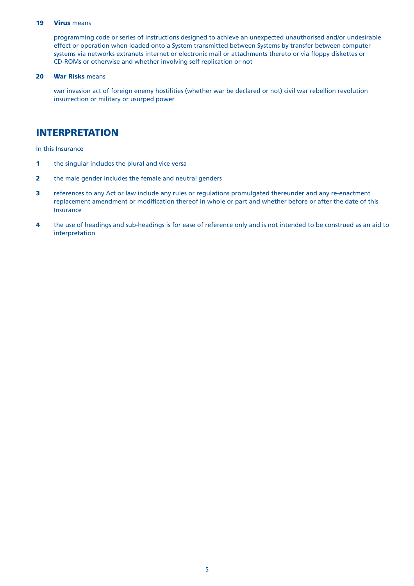### **19 Virus** means

programming code or series of instructions designed to achieve an unexpected unauthorised and/or undesirable effect or operation when loaded onto a System transmitted between Systems by transfer between computer systems via networks extranets internet or electronic mail or attachments thereto or via floppy diskettes or CD-ROMs or otherwise and whether involving self replication or not

## **20 War Risks** means

war invasion act of foreign enemy hostilities (whether war be declared or not) civil war rebellion revolution insurrection or military or usurped power

# **INTERPRETATION**

In this Insurance

- **1 the singular includes the plural and vice versa**
- **2** the male gender includes the female and neutral genders
- **3** references to any Act or law include any rules or regulations promulgated thereunder and any re-enactment replacement amendment or modification thereof in whole or part and whether before or after the date of this Insurance
- **4** the use of headings and sub-headings is for ease of reference only and is not intended to be construed as an aid to interpretation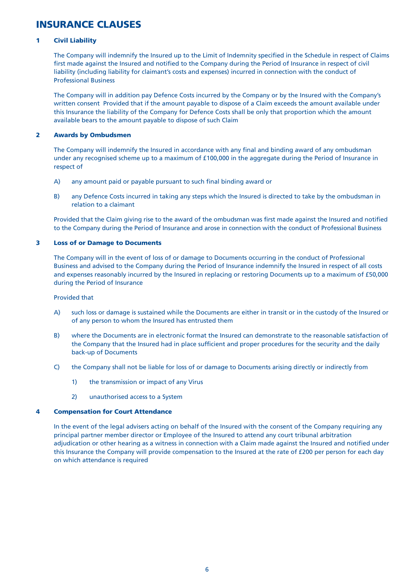# **INSURANCE CLAUSES**

# **1 Civil Liability**

The Company will indemnify the Insured up to the Limit of Indemnity specified in the Schedule in respect of Claims first made against the Insured and notified to the Company during the Period of Insurance in respect of civil liability (including liability for claimant's costs and expenses) incurred in connection with the conduct of Professional Business

The Company will in addition pay Defence Costs incurred by the Company or by the Insured with the Company's written consent Provided that if the amount payable to dispose of a Claim exceeds the amount available under this Insurance the liability of the Company for Defence Costs shall be only that proportion which the amount available bears to the amount payable to dispose of such Claim

# **2 Awards by Ombudsmen**

The Company will indemnify the Insured in accordance with any final and binding award of any ombudsman under any recognised scheme up to a maximum of £100,000 in the aggregate during the Period of Insurance in respect of

- A) any amount paid or payable pursuant to such final binding award or
- B) any Defence Costs incurred in taking any steps which the Insured is directed to take by the ombudsman in relation to a claimant

Provided that the Claim giving rise to the award of the ombudsman was first made against the Insured and notified to the Company during the Period of Insurance and arose in connection with the conduct of Professional Business

# **3 Loss of or Damage to Documents**

The Company will in the event of loss of or damage to Documents occurring in the conduct of Professional Business and advised to the Company during the Period of Insurance indemnify the Insured in respect of all costs and expenses reasonably incurred by the Insured in replacing or restoring Documents up to a maximum of £50,000 during the Period of Insurance

Provided that

- A) such loss or damage is sustained while the Documents are either in transit or in the custody of the Insured or of any person to whom the Insured has entrusted them
- B) where the Documents are in electronic format the Insured can demonstrate to the reasonable satisfaction of the Company that the Insured had in place sufficient and proper procedures for the security and the daily back-up of Documents
- C) the Company shall not be liable for loss of or damage to Documents arising directly or indirectly from
	- 1) the transmission or impact of any Virus
	- 2) unauthorised access to a System

## **4 Compensation for Court Attendance**

In the event of the legal advisers acting on behalf of the Insured with the consent of the Company requiring any principal partner member director or Employee of the Insured to attend any court tribunal arbitration adjudication or other hearing as a witness in connection with a Claim made against the Insured and notified under this Insurance the Company will provide compensation to the Insured at the rate of £200 per person for each day on which attendance is required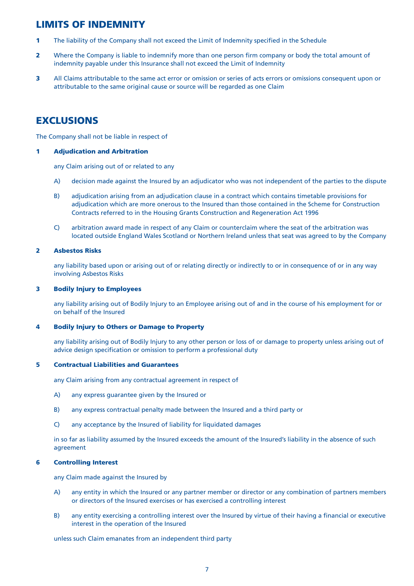# **LIMITS OF INDEMNITY**

- **1** The liability of the Company shall not exceed the Limit of Indemnity specified in the Schedule
- **2** Where the Company is liable to indemnify more than one person firm company or body the total amount of indemnity payable under this Insurance shall not exceed the Limit of Indemnity
- **3** All Claims attributable to the same act error or omission or series of acts errors or omissions consequent upon or attributable to the same original cause or source will be regarded as one Claim

# **EXCLUSIONS**

The Company shall not be liable in respect of

# **1 Adjudication and Arbitration**

any Claim arising out of or related to any

- A) decision made against the Insured by an adjudicator who was not independent of the parties to the dispute
- B) adjudication arising from an adjudication clause in a contract which contains timetable provisions for adjudication which are more onerous to the Insured than those contained in the Scheme for Construction Contracts referred to in the Housing Grants Construction and Regeneration Act 1996
- C) arbitration award made in respect of any Claim or counterclaim where the seat of the arbitration was located outside England Wales Scotland or Northern Ireland unless that seat was agreed to by the Company

# **2 Asbestos Risks**

any liability based upon or arising out of or relating directly or indirectly to or in consequence of or in any way involving Asbestos Risks

# **3 Bodily Injury to Employees**

any liability arising out of Bodily Injury to an Employee arising out of and in the course of his employment for or on behalf of the Insured

# **4 Bodily Injury to Others or Damage to Property**

any liability arising out of Bodily Injury to any other person or loss of or damage to property unless arising out of advice design specification or omission to perform a professional duty

# **5 Contractual Liabilities and Guarantees**

any Claim arising from any contractual agreement in respect of

- A) any express guarantee given by the Insured or
- B) any express contractual penalty made between the Insured and a third party or
- C) any acceptance by the Insured of liability for liquidated damages

in so far as liability assumed by the Insured exceeds the amount of the Insured's liability in the absence of such agreement

# **6 Controlling Interest**

any Claim made against the Insured by

- A) any entity in which the Insured or any partner member or director or any combination of partners members or directors of the Insured exercises or has exercised a controlling interest
- B) any entity exercising a controlling interest over the Insured by virtue of their having a financial or executive interest in the operation of the Insured

#### unless such Claim emanates from an independent third party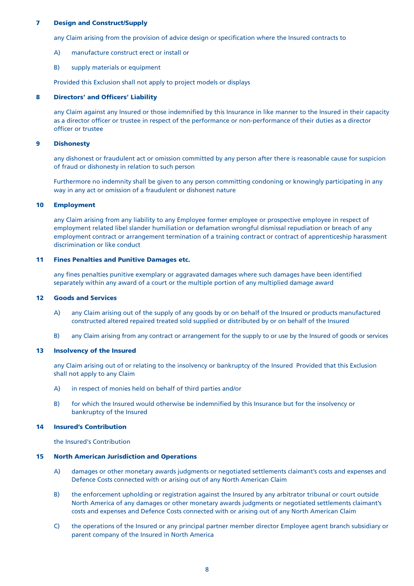## **7 Design and Construct/Supply**

any Claim arising from the provision of advice design or specification where the Insured contracts to

- A) manufacture construct erect or install or
- B) supply materials or equipment

Provided this Exclusion shall not apply to project models or displays

### **8 Directors' and Officers' Liability**

any Claim against any Insured or those indemnified by this Insurance in like manner to the Insured in their capacity as a director officer or trustee in respect of the performance or non-performance of their duties as a director officer or trustee

#### **9 Dishonesty**

any dishonest or fraudulent act or omission committed by any person after there is reasonable cause for suspicion of fraud or dishonesty in relation to such person

Furthermore no indemnity shall be given to any person committing condoning or knowingly participating in any way in any act or omission of a fraudulent or dishonest nature

#### **10 Employment**

any Claim arising from any liability to any Employee former employee or prospective employee in respect of employment related libel slander humiliation or defamation wrongful dismissal repudiation or breach of any employment contract or arrangement termination of a training contract or contract of apprenticeship harassment discrimination or like conduct

#### **11 Fines Penalties and Punitive Damages etc.**

any fines penalties punitive exemplary or aggravated damages where such damages have been identified separately within any award of a court or the multiple portion of any multiplied damage award

#### **12 Goods and Services**

- A) any Claim arising out of the supply of any goods by or on behalf of the Insured or products manufactured constructed altered repaired treated sold supplied or distributed by or on behalf of the Insured
- B) any Claim arising from any contract or arrangement for the supply to or use by the Insured of goods or services

#### **13 Insolvency of the Insured**

any Claim arising out of or relating to the insolvency or bankruptcy of the Insured Provided that this Exclusion shall not apply to any Claim

- A) in respect of monies held on behalf of third parties and/or
- B) for which the Insured would otherwise be indemnified by this Insurance but for the insolvency or bankruptcy of the Insured

### **14 Insured's Contribution**

the Insured's Contribution

#### **15 North American Jurisdiction and Operations**

- A) damages or other monetary awards judgments or negotiated settlements claimant's costs and expenses and Defence Costs connected with or arising out of any North American Claim
- B) the enforcement upholding or registration against the Insured by any arbitrator tribunal or court outside North America of any damages or other monetary awards judgments or negotiated settlements claimant's costs and expenses and Defence Costs connected with or arising out of any North American Claim
- C) the operations of the Insured or any principal partner member director Employee agent branch subsidiary or parent company of the Insured in North America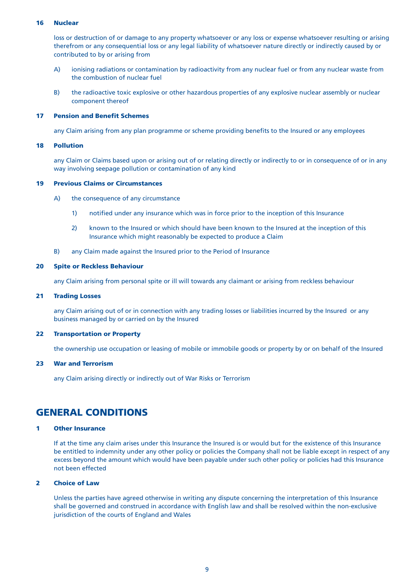### **16 Nuclear**

loss or destruction of or damage to any property whatsoever or any loss or expense whatsoever resulting or arising therefrom or any consequential loss or any legal liability of whatsoever nature directly or indirectly caused by or contributed to by or arising from

- A) ionising radiations or contamination by radioactivity from any nuclear fuel or from any nuclear waste from the combustion of nuclear fuel
- B) the radioactive toxic explosive or other hazardous properties of any explosive nuclear assembly or nuclear component thereof

#### **17 Pension and Benefit Schemes**

any Claim arising from any plan programme or scheme providing benefits to the Insured or any employees

### **18 Pollution**

any Claim or Claims based upon or arising out of or relating directly or indirectly to or in consequence of or in any way involving seepage pollution or contamination of any kind

#### **19 Previous Claims or Circumstances**

- A) the consequence of any circumstance
	- 1) notified under any insurance which was in force prior to the inception of this Insurance
	- 2) known to the Insured or which should have been known to the Insured at the inception of this Insurance which might reasonably be expected to produce a Claim
- B) any Claim made against the Insured prior to the Period of Insurance

#### **20 Spite or Reckless Behaviour**

any Claim arising from personal spite or ill will towards any claimant or arising from reckless behaviour

#### **21 Trading Losses**

any Claim arising out of or in connection with any trading losses or liabilities incurred by the Insured or any business managed by or carried on by the Insured

### **22 Transportation or Property**

the ownership use occupation or leasing of mobile or immobile goods or property by or on behalf of the Insured

## **23 War and Terrorism**

any Claim arising directly or indirectly out of War Risks or Terrorism

# **GENERAL CONDITIONS**

#### **1 Other Insurance**

If at the time any claim arises under this Insurance the Insured is or would but for the existence of this Insurance be entitled to indemnity under any other policy or policies the Company shall not be liable except in respect of any excess beyond the amount which would have been payable under such other policy or policies had this Insurance not been effected

# **2 Choice of Law**

Unless the parties have agreed otherwise in writing any dispute concerning the interpretation of this Insurance shall be governed and construed in accordance with English law and shall be resolved within the non-exclusive jurisdiction of the courts of England and Wales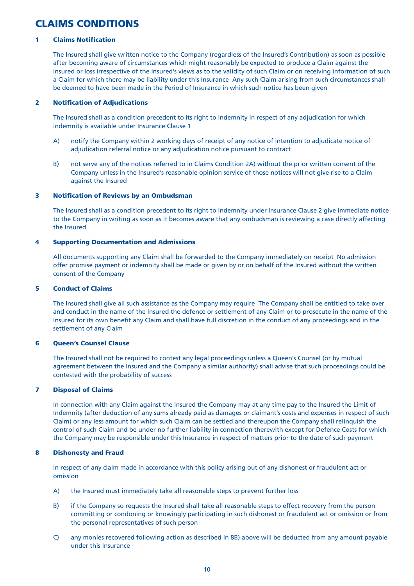# **CLAIMS CONDITIONS**

# **1 Claims Notification**

The Insured shall give written notice to the Company (regardless of the Insured's Contribution) as soon as possible after becoming aware of circumstances which might reasonably be expected to produce a Claim against the Insured or loss irrespective of the Insured's views as to the validity of such Claim or on receiving information of such a Claim for which there may be liability under this Insurance Any such Claim arising from such circumstances shall be deemed to have been made in the Period of Insurance in which such notice has been given

# **2 Notification of Adjudications**

The Insured shall as a condition precedent to its right to indemnity in respect of any adjudication for which indemnity is available under Insurance Clause 1

- A) notify the Company within 2 working days of receipt of any notice of intention to adjudicate notice of adjudication referral notice or any adjudication notice pursuant to contract
- B) not serve any of the notices referred to in Claims Condition 2A) without the prior written consent of the Company unless in the Insured's reasonable opinion service of those notices will not give rise to a Claim against the Insured

### **3 Notification of Reviews by an Ombudsman**

The Insured shall as a condition precedent to its right to indemnity under Insurance Clause 2 give immediate notice to the Company in writing as soon as it becomes aware that any ombudsman is reviewing a case directly affecting the Insured

### **4 Supporting Documentation and Admissions**

All documents supporting any Claim shall be forwarded to the Company immediately on receipt No admission offer promise payment or indemnity shall be made or given by or on behalf of the Insured without the written consent of the Company

## **5 Conduct of Claims**

The Insured shall give all such assistance as the Company may require The Company shall be entitled to take over and conduct in the name of the Insured the defence or settlement of any Claim or to prosecute in the name of the Insured for its own benefit any Claim and shall have full discretion in the conduct of any proceedings and in the settlement of any Claim

# **6 Queen's Counsel Clause**

The Insured shall not be required to contest any legal proceedings unless a Queen's Counsel (or by mutual agreement between the Insured and the Company a similar authority) shall advise that such proceedings could be contested with the probability of success

# **7 Disposal of Claims**

In connection with any Claim against the Insured the Company may at any time pay to the Insured the Limit of Indemnity (after deduction of any sums already paid as damages or claimant's costs and expenses in respect of such Claim) or any less amount for which such Claim can be settled and thereupon the Company shall relinquish the control of such Claim and be under no further liability in connection therewith except for Defence Costs for which the Company may be responsible under this Insurance in respect of matters prior to the date of such payment

# **8 Dishonesty and Fraud**

In respect of any claim made in accordance with this policy arising out of any dishonest or fraudulent act or omission

- A) the Insured must immediately take all reasonable steps to prevent further loss
- B) if the Company so requests the Insured shall take all reasonable steps to effect recovery from the person committing or condoning or knowingly participating in such dishonest or fraudulent act or omission or from the personal representatives of such person
- C) any monies recovered following action as described in 8B) above will be deducted from any amount payable under this Insurance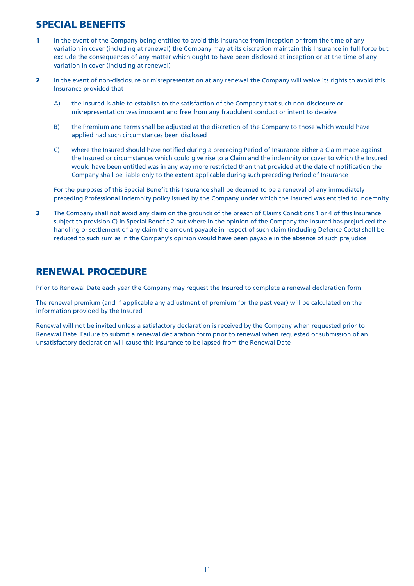# **SPECIAL BENEFITS**

- **1** In the event of the Company being entitled to avoid this Insurance from inception or from the time of any variation in cover (including at renewal) the Company may at its discretion maintain this Insurance in full force but exclude the consequences of any matter which ought to have been disclosed at inception or at the time of any variation in cover (including at renewal)
- **2** In the event of non-disclosure or misrepresentation at any renewal the Company will waive its rights to avoid this Insurance provided that
	- A) the Insured is able to establish to the satisfaction of the Company that such non-disclosure or misrepresentation was innocent and free from any fraudulent conduct or intent to deceive
	- B) the Premium and terms shall be adjusted at the discretion of the Company to those which would have applied had such circumstances been disclosed
	- C) where the Insured should have notified during a preceding Period of Insurance either a Claim made against the Insured or circumstances which could give rise to a Claim and the indemnity or cover to which the Insured would have been entitled was in any way more restricted than that provided at the date of notification the Company shall be liable only to the extent applicable during such preceding Period of Insurance

For the purposes of this Special Benefit this Insurance shall be deemed to be a renewal of any immediately preceding Professional Indemnity policy issued by the Company under which the Insured was entitled to indemnity

**3** The Company shall not avoid any claim on the grounds of the breach of Claims Conditions 1 or 4 of this Insurance subject to provision C) in Special Benefit 2 but where in the opinion of the Company the Insured has prejudiced the handling or settlement of any claim the amount payable in respect of such claim (including Defence Costs) shall be reduced to such sum as in the Company's opinion would have been payable in the absence of such prejudice

# **RENEWAL PROCEDURE**

Prior to Renewal Date each year the Company may request the Insured to complete a renewal declaration form

The renewal premium (and if applicable any adjustment of premium for the past year) will be calculated on the information provided by the Insured

Renewal will not be invited unless a satisfactory declaration is received by the Company when requested prior to Renewal Date Failure to submit a renewal declaration form prior to renewal when requested or submission of an unsatisfactory declaration will cause this Insurance to be lapsed from the Renewal Date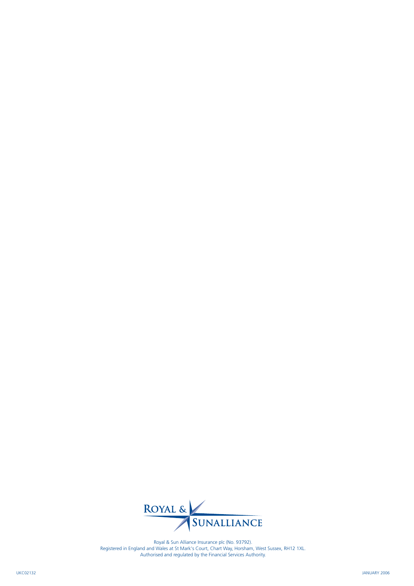

Royal & Sun Alliance Insurance plc (No. 93792). Registered in England and Wales at St Mark's Court, Chart Way, Horsham, West Sussex, RH12 1XL. Authorised and regulated by the Financial Services Authority.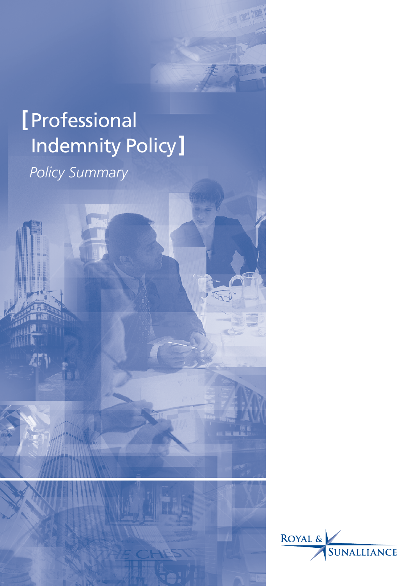# **[**Professional Indemnity Policy**]** *Policy Summary*

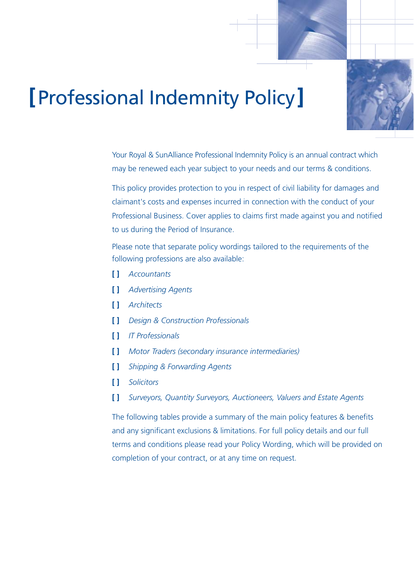

# **[**Professional Indemnity Policy**]**

Your Royal & SunAlliance Professional Indemnity Policy is an annual contract which may be renewed each year subject to your needs and our terms & conditions.

This policy provides protection to you in respect of civil liability for damages and claimant's costs and expenses incurred in connection with the conduct of your Professional Business. Cover applies to claims first made against you and notified to us during the Period of Insurance.

Please note that separate policy wordings tailored to the requirements of the following professions are also available:

- **[ ]** *Accountants*
- **[ ]** *Advertising Agents*
- **[ ]** *Architects*
- **[ ]** *Design & Construction Professionals*
- **[ ]** *IT Professionals*
- **[ ]** *Motor Traders (secondary insurance intermediaries)*
- **[ ]** *Shipping & Forwarding Agents*
- **[ ]** *Solicitors*
- **[ ]** *Surveyors, Quantity Surveyors, Auctioneers, Valuers and Estate Agents*

The following tables provide a summary of the main policy features & benefits and any significant exclusions & limitations. For full policy details and our full terms and conditions please read your Policy Wording, which will be provided on completion of your contract, or at any time on request.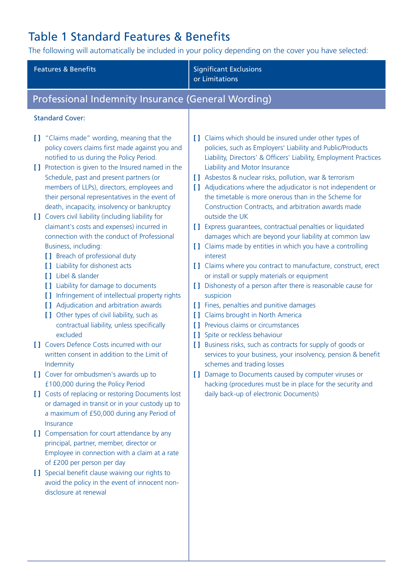# Table 1 Standard Features & Benefits

The following will automatically be included in your policy depending on the cover you have selected:

| <b>Features &amp; Benefits</b>                                                                                                                                                                                                                                                                                                                                                                                                                                                                                                                                                                                                                                                                                                                                                                                                                                                                                                                                                                                                                                                                                                                                                                                                                                                                                                                                                                                                                                                                                                                                                          | <b>Significant Exclusions</b><br>or Limitations                                                                                                                                                                                                                                                                                                                                                                                                                                                                                                                                                                                                                                                                                                                                                                                                                                                                                                                                                                                                                                                                                                                                                                                                                                                                                                                                        |  |
|-----------------------------------------------------------------------------------------------------------------------------------------------------------------------------------------------------------------------------------------------------------------------------------------------------------------------------------------------------------------------------------------------------------------------------------------------------------------------------------------------------------------------------------------------------------------------------------------------------------------------------------------------------------------------------------------------------------------------------------------------------------------------------------------------------------------------------------------------------------------------------------------------------------------------------------------------------------------------------------------------------------------------------------------------------------------------------------------------------------------------------------------------------------------------------------------------------------------------------------------------------------------------------------------------------------------------------------------------------------------------------------------------------------------------------------------------------------------------------------------------------------------------------------------------------------------------------------------|----------------------------------------------------------------------------------------------------------------------------------------------------------------------------------------------------------------------------------------------------------------------------------------------------------------------------------------------------------------------------------------------------------------------------------------------------------------------------------------------------------------------------------------------------------------------------------------------------------------------------------------------------------------------------------------------------------------------------------------------------------------------------------------------------------------------------------------------------------------------------------------------------------------------------------------------------------------------------------------------------------------------------------------------------------------------------------------------------------------------------------------------------------------------------------------------------------------------------------------------------------------------------------------------------------------------------------------------------------------------------------------|--|
| Professional Indemnity Insurance (General Wording)                                                                                                                                                                                                                                                                                                                                                                                                                                                                                                                                                                                                                                                                                                                                                                                                                                                                                                                                                                                                                                                                                                                                                                                                                                                                                                                                                                                                                                                                                                                                      |                                                                                                                                                                                                                                                                                                                                                                                                                                                                                                                                                                                                                                                                                                                                                                                                                                                                                                                                                                                                                                                                                                                                                                                                                                                                                                                                                                                        |  |
| <b>Standard Cover:</b>                                                                                                                                                                                                                                                                                                                                                                                                                                                                                                                                                                                                                                                                                                                                                                                                                                                                                                                                                                                                                                                                                                                                                                                                                                                                                                                                                                                                                                                                                                                                                                  |                                                                                                                                                                                                                                                                                                                                                                                                                                                                                                                                                                                                                                                                                                                                                                                                                                                                                                                                                                                                                                                                                                                                                                                                                                                                                                                                                                                        |  |
| [] "Claims made" wording, meaning that the<br>policy covers claims first made against you and<br>notified to us during the Policy Period.<br>[] Protection is given to the Insured named in the<br>Schedule, past and present partners (or<br>members of LLPs), directors, employees and<br>their personal representatives in the event of<br>death, incapacity, insolvency or bankruptcy<br>[] Covers civil liability (including liability for<br>claimant's costs and expenses) incurred in<br>connection with the conduct of Professional<br>Business, including:<br>[ ] Breach of professional duty<br>[ ] Liability for dishonest acts<br><b>I</b> Libel & slander<br>[ ] Liability for damage to documents<br>[ ] Infringement of intellectual property rights<br>[ ] Adjudication and arbitration awards<br>[ ] Other types of civil liability, such as<br>contractual liability, unless specifically<br>excluded<br>[] Covers Defence Costs incurred with our<br>written consent in addition to the Limit of<br>Indemnity<br>[] Cover for ombudsmen's awards up to<br>£100,000 during the Policy Period<br>[] Costs of replacing or restoring Documents lost<br>or damaged in transit or in your custody up to<br>a maximum of £50,000 during any Period of<br>Insurance<br>[] Compensation for court attendance by any<br>principal, partner, member, director or<br>Employee in connection with a claim at a rate<br>of £200 per person per day<br>[] Special benefit clause waiving our rights to<br>avoid the policy in the event of innocent non-<br>disclosure at renewal | [ ] Claims which should be insured under other types of<br>policies, such as Employers' Liability and Public/Products<br>Liability, Directors' & Officers' Liability, Employment Practices<br>Liability and Motor Insurance<br>[ ] Asbestos & nuclear risks, pollution, war & terrorism<br>[ ] Adjudications where the adjudicator is not independent or<br>the timetable is more onerous than in the Scheme for<br>Construction Contracts, and arbitration awards made<br>outside the UK<br>[] Express quarantees, contractual penalties or liquidated<br>damages which are beyond your liability at common law<br>[ ] Claims made by entities in which you have a controlling<br>interest<br>[] Claims where you contract to manufacture, construct, erect<br>or install or supply materials or equipment<br>[] Dishonesty of a person after there is reasonable cause for<br>suspicion<br>[ ] Fines, penalties and punitive damages<br>[ ] Claims brought in North America<br>[ ] Previous claims or circumstances<br>[ ] Spite or reckless behaviour<br>[ ] Business risks, such as contracts for supply of goods or<br>services to your business, your insolvency, pension & benefit<br>schemes and trading losses<br>[] Damage to Documents caused by computer viruses or<br>hacking (procedures must be in place for the security and<br>daily back-up of electronic Documents) |  |
|                                                                                                                                                                                                                                                                                                                                                                                                                                                                                                                                                                                                                                                                                                                                                                                                                                                                                                                                                                                                                                                                                                                                                                                                                                                                                                                                                                                                                                                                                                                                                                                         |                                                                                                                                                                                                                                                                                                                                                                                                                                                                                                                                                                                                                                                                                                                                                                                                                                                                                                                                                                                                                                                                                                                                                                                                                                                                                                                                                                                        |  |